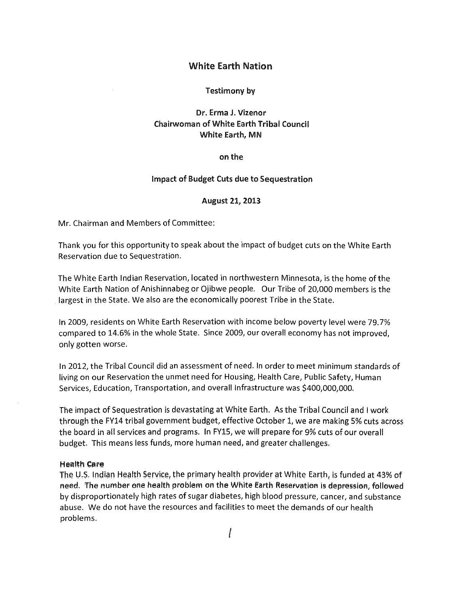## White Earth Nation

### Testimony by

# Dr. Erma J. Vizenor Chairwoman of White Earth Tribal Council White Earth, MN

#### on the

#### Impact of Budget Cuts due to Sequestration

#### August 21, 2013

Mr. Chairman and Members of Committee:

Thank you for this opportunity to speak about the impact of budget cuts on the White Earth Reservation due to Sequestration.

The White Earth Indian Reservation, located in northwestern Minnesota, is the home ofthe White Earth Nation of Anishinnabeg or Ojibwe people. Our Tribe of 20,000 members is the largest in the State. We also are the economically poorest Tribe in the State.

In 2009, residents on White Earth Reservation with income below poverty level were 79.7% compared to 14.6% in the whole State. Since 2009, our overall economy has not improved, only gotten worse.

In 2012, the Tribal Council did an assessment of need. In order to meet minimum standards of living on our Reservation the unmet need for Housing, Health Care, Public Safety, Human Services, Education, Transportation, and overall Infrastructure was \$400,000,000.

The impact of Sequestration is devastating at White Earth. As the Tribal Council and I work through the FY14 tribal government budget, effective October 1, we are making 5% cuts across the board in all services and programs. In FY15, we will prepare for 9% cuts of our overall budget. This means less funds, more human need, and greater challenges.

#### Health Care

The U.S. Indian Health Service, the primary health provider at White Earth, is funded at 43% of need. The number one health problem on the White Earth Reservation is depression, followed by disproportionately high rates of sugar diabetes, high blood pressure, cancer, and substance abuse. We do not have the resources and facilities to meet the demands of our health problems.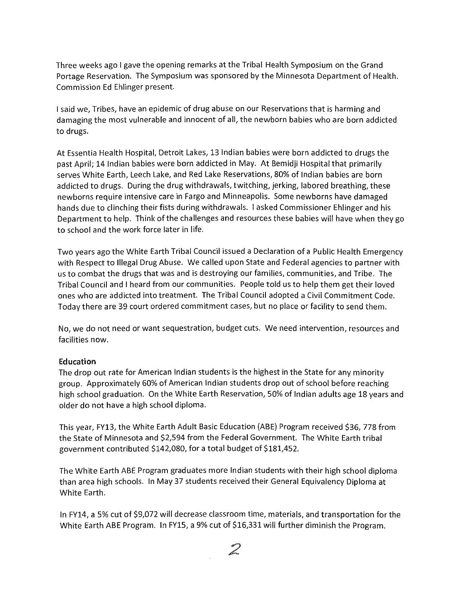Three weeks ago I gave the opening remarks at the Tribal Health Symposium on the Grand Portage Reservation. The Symposium was sponsored by the Minnesota Department of Health. Commission Ed Ehlinger present.

I said we, Tribes, have an epidemic of drug abuse on our Reservations that is harming and damaging the most vulnerable and innocent of all, the newborn babies who are born addicted to drugs.

At Essentia Health Hospital, Detroit Lakes, 13 Indian babies were born addicted to drugs the past April; 14 Indian babies were born addicted in May. At Bemidji Hospital that primarily serves White Earth, Leech Lake, and Red Lake Reservations, 80% of Indian babies are born addicted to drugs. During the drug withdrawals, twitching, jerking, labored breathing, these newborns require intensive care in Fargo and Minneapolis. Some newborns have damaged hands due to clinching their fists during withdrawals. I asked Commissioner Ehlinger and his Department to help. Think of the challenges and resources these babies will have when they go to school and the work force later in life.

Two years ago the White Earth Tribal Council issued a Declaration of a Public Health Emergency with Respect to Illegal Drug Abuse. We called upon State and Federal agencies to partner with us to combat the drugs that was and is destroying our families, communities, and Tribe. The Tribal Council and I heard from our communities. People told us to help them get their loved ones who are addicted into treatment. The Tribal Council adopted a Civil Commitment Code. Today there are 39 court ordered commitment cases, but no place or facility to send them.

No, we do not need or want sequestration, budget cuts. We need intervention, resources and facilities now.

## **Education**

The drop out rate for American Indian students is the highest in the State for any minority group. Approximately 60% of American Indian students drop out of school before reaching high school graduation. On the White Earth Reservation, 50% of Indian adults age 18 years and older do not have a high school diploma.

This year, FY13, the White Earth Adult Basic Education (ABE) Program received \$36, 778 from the State of Minnesota and \$2,594 from the Federal Government. The White Earth tribal government contributed \$142,080, for a total budget of \$181,452.

The White Earth ABE Program graduates more Indian students with their high school diploma than area high schools. In May 37 students received their General Equivalency Diploma at White Earth.

In FY14, a 5% cut of \$9,072 will decrease classroom time, materials, and transportation for the White Earth ABE Program. In FY15, a 9% cut of \$16,331 will further diminish the Program.

**Contract Contract Contract Contract Contract Contract Contract Contract Contract Contract Contract Contract C**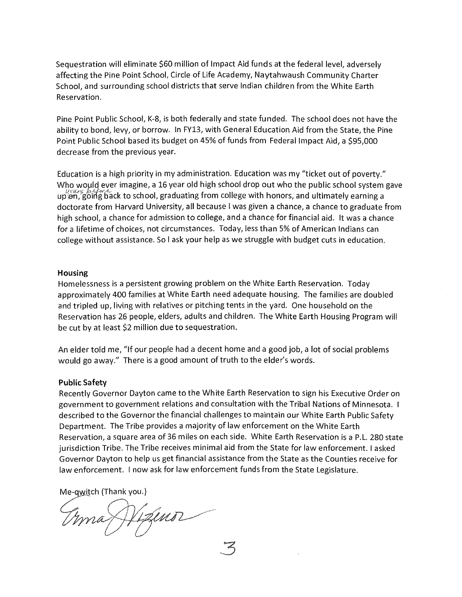Sequestration will eliminate \$60 million of Impact Aid funds at the federal level, adversely affecting the Pine Point School, Circle of life Academy, Naytahwaush Community Charter School, and surrounding school districts that serve Indian children from the White Earth Reservation.

Pine Point Public School, K-8, is both federally and state funded. The school does not have the ability to bond, levy, or borrow. In FY13, with General Education Aid from the State, the Pine Point Public School based its budget on 45% of funds from Federal Impact Aid, a \$95,000 decrease from the previous year.

Education is a high priority in my administration. Education was my "ticket out of poverty." Who would ever imagine, a 16 year old high school drop out who the public school system gave up on, going back to school, graduating from college with honors, and ultimately earning a doctorate from Harvard University, all because I was given a chance, a chance to graduate from high school, a chance for admission to college, and a chance for financial aid. It was a chance for a lifetime of choices, not circumstances. Today, less than 5% of American Indians can college without assistance. So I ask your help as we struggle with budget cuts in education.

#### Housing

Homelessness is a persistent growing problem on the White Earth Reservation. Today approximately 400 families at White Earth need adequate housing. The families are doubled and tripled up, living with relatives or pitching tents in the yard. One household on the Reservation has 26 people, elders, adults and children. The White Earth Housing Program will be cut by at least \$2 million due to sequestration.

An elder told me, "If our people had a decent home and a good job, a lot of social problems would go away." There is a good amount of truth to the elder's words.

#### Public Safety

Recently Governor Dayton came to the White Earth Reservation to sign his Executive Order on government to government relations and consultation with the Tribal Nations of Minnesota. 1 described to the Governor the financial challenges to maintain our White Earth Public Safety Department. The Tribe provides a majority of law enforcement on the White Earth Reservation, a square area of 36 miles on each side. White Earth Reservation is a P.L. 280 state jurisdiction Tribe. The Tribe receives minimal aid from the State for law enforcement. I asked Governor Dayton to help us get financial assistance from the State as the Counties receive for law enforcement. I now ask for law enforcement funds from the State Legislature.

*3* 

Me-qwitch (Thank you.)

Vizinor ma,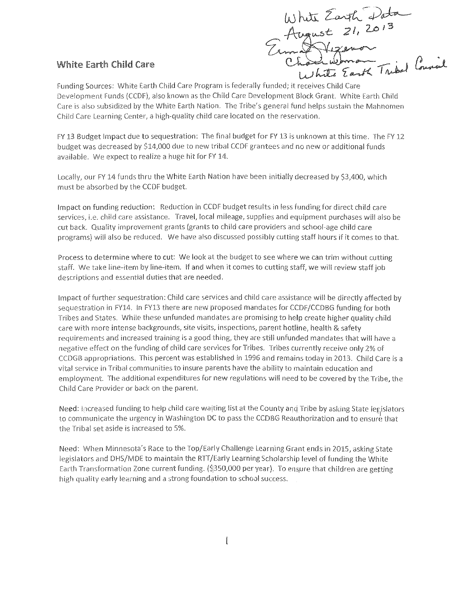$U_1$ ) hite Earth Data  $~t$  21, 2013 Erma St Witters ( Company)

# White Earth Child Care

Funding Sources: White Earth Child Care Program is federally funded; it receives Child Care Development Funds (CCDF), also known as the Child Care Development Block Grant. White Earth Child Care is also subsidized by the White Earth Nation. The Tribe's general fund helps sustain the Mahnomen Child Care Learning Center, a high-quality child care located on the reservation.

FY 13 Budget Impact due to sequestration: The final budget for FY 13 is unknown at this time. The FY 12 budget was decreased by \$14,000 due to new tribal CCDF grantees and no new or additional funds available. We expect to realize a huge hit for FY 14.

locally, our FY 14 funds thru the White Earth Nation have been initially decreased by \$3,400, which must be absorbed by the CCDF budget.

Impact on funding reduction: Reduction in CCDF budget results in less funding for direct child care services, i.e. child care assistance. Travel, local mileage, supplies and equipment purchases will also be cut back. Quality improvement grants (grants to child care providers and school~age child care programs) will also be reduced. We have also discussed possibly cutting staff hours if it comes to that

Process to determine where to cut: We look at the budget to see where we can trim without cutting staff. We take line~item by line~item. If and when it comes to cutting staff, we will review staff job descriptions and essential duties that are needed.

Impact of further sequestration: Child care services and child care assistance will be directly affected by sequestration in FY14. In FY13 there are new proposed mandates for CCDF/CCDBG funding for both Tribes and States. While these unfunded mandates are promising to help create higher quality child care with more intense backgrounds, site visits, inspections, parent hotline, health & safety requirements and increased training is a good thing, they are still unfunded mandates that will have a negative effect on the funding of child care services for Tribes. Tribes currently receive only 2% of CCDGB appropriations. This percent was established in 1996 and remains today in 2013. Child Care is a vital service in Tribal communities to insure parents have the ability to maintain education and employment. The additional expenditures for new regulations will need to be covered by the Tribe, the Child Care Provider or back on the parent

Need: Increased funding to help child care waiting list at the County and Tribe by asking State legislators to communicate the urgency in Washington DC to pass the CCDBG Reauthorization and to ensure that the Tribal set aside is increased to 5%.

Need: When Minnesota's Race to the Top/Early Challenge Learning Grant ends in 2015, asking State legislators and DHS/MDE to maintain the RTT/Early learning Scholarship level of funding the White Earth Transformation Zone current funding. (\$350,000 per year). To ensure that children are getting high quality early learning and a strong foundation to school success.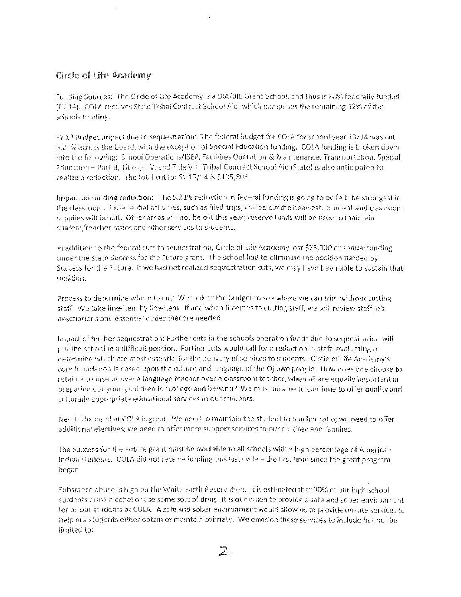# Circle of Life Academy

Funding Sources: The Circle of Life Academy is a BIA/BIE Grant School, and thus is 88% federally funded (FY 14). COLA receives State Tribal Contract School Aid, which comprises the remaining 12% of the schools funding.

FY 13 Budget Impact due to sequestration: The federal budget for COlA for school year 13/14 was cut 5.2.1% across the board, with the exception of Special Education funding. COLA funding is broken down into the following: School Operations/ISEP, Facilities Operation & Maintenance, Transportation, Special Education - Part B, Title I, II IV, and Title VII. Tribal Contract School Aid (State) is also anticipated to realize a reduction. The total cut for SY 13/14 is \$105,803.

Impact on funding reduction: The 5.21% reduction in federal funding is going to be felt the strongest in the classroom. Experiential activities, such as filed trips, will be cut the heaviest. Student and classroom supplies will be cut. Other areas will not be cut this year; reserve funds will be used to maintain student/teacher ratios and other services to students.

In addition to the federal cuts to sequestration, Circle of Life Academy lost \$75,000 of annual funding under the state Success for the Future grant. The school had to eliminate the position funded by Success for the Future. !f we had not realized sequestration cuts, we may have been **able** to sustain that position.

Process to determine where to cut: We look at the budget to see where we can trim without cutting staff. We take line-item by line-item. If and when it comes to cutting staff, we will review staff job descriptions and essential duties that are needed.

Impact of further sequestration: Further cuts in the schools operation funds due to sequestration will put the school in a difficult position. Further cuts would call for a reduction in staff, evaluating to determine which are most essential for the delivery of services to students. Circle of Life Academy's core foundation is based upon the culture and language of the Ojibwe people. How does one choose to retain a counselor over a language teacher over a classroom teacher, when all are equally important in preparing our young children for college and beyond' We must be able to continue to offer quality and culturally appropriate educational services to our students.

Need: The need at COLA is great. We need to maintain the student to teacher ratio; we need to offer additional electives; we need to offer more support services to our children and families.

The Success for the Future grant must be available to all schools with a high percentage of American Indian students. COLA did not receive funding this last cycle-- the first time since the grant program began.

Substance abuse is high on the White Earth Reservation, It is estimated that 90% of our high school students drink alcohol or use some sort of drug. It is our vision to provide a safe and sober environment for all our students at COLA. A safe and sober environment would allow us to provide on-site services to help our students either obtain or maintain sobriety. We envision these services to include but not be limited to: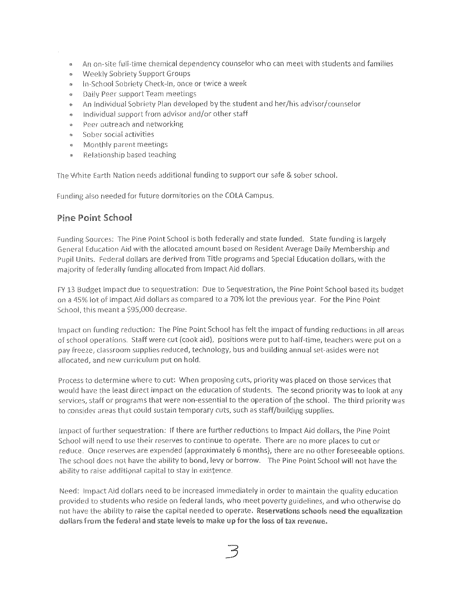- An on-site full-time chemical dependency counselor who can meet with students and families
- Weekly Sobriety Support Groups
- **In-School Sobriety Check-In, once or twice a week**
- Daily Peer support Team meetings
- An Individual Sobriety Plan developed by the student and her/his advisor/counselor
- Individual support from advisor and/or other staff
- Peer outreach and networking  $\otimes$
- Sober social activities  $\otimes$
- 0 Monthly parent meetings
- " Relationship based teaching

The White Earth Nation needs additional funding to support our safe & sober school.

Funding also needed for future dormitories on the COLA Campus.

# Pine Point School

Funding Sources: The Pine Point School is both federally and state funded. State funding is largely General Education Aid with the allocated amount based on Resident Average Daily Membership and Pupil Units. Federal dollars are derived from Title programs and Special Education dollars, with the majority of federally funding allocated from Impact Aid dollars.

FY 13 Budget Impact due to sequestration: Due to Sequestration, the Pine Point School based its budget on a 4S% lot of impact Aid dollars as compared to a 70% lot the previous year. For the Pine Point School, this meant a \$95,000 decrease.

impact on funding reduction: The Pine Point School has felt the impact of funding reductions in all areas of school operations. Staff were cut (cook aid), positions were put to half-time, teachers were put on a pay freeze, classroom supplies reduced, technology, bus and building annual set-asides were not allocated, and new curriculum put on hold.

Process to determine where to cut: When proposing cuts, priority was placed on those services that would have the least direct impact on the education of students. The second priority was to look at any services, staff or programs that were non-essential to the operation of the school. The third priority was to consider areas that could sustain temporary cuts, such as staff/building supplies.

Impact of further sequestration: If there are further reductions to Impact Aid dollars, the Pine Point School wili need to use their reserves to continue to operate. There are no more places to cut or reduce. Once reserves are expended (approximately 6 months), there are no other foreseeable options, The school does not have the ability to bond, levy or borrow. The Pine Point School will not have the ability to raise additional capital to stay in existence.

Need: Impact Aid dollars need to be increased immediately in order to maintain the quality education provided to students who reside on federal lands, who meet poverty guidelines, and who otherwise do not have the ability to raise the capital needed to operate. Reservations schools need the equalization dollars from the federal and state levels to make up for the loss of tax revenue.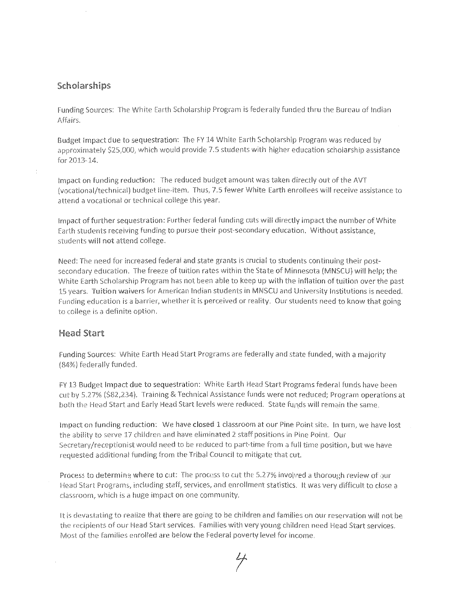## Scholarships

 $\frac{\epsilon}{\epsilon}$ 

Funding Sources: The White Earth Scholarship Program is federally funded thru the Bureau of Indian Affairs<

Budget Impact due to sequestration: The FY 14 White Earth Scholarship Program was reduced by approximately \$25,000, which would provide 7.5 students with higher education scholarship assistance for 2013-14.

Impact on funding reduction: The reduced budget amount was taken directly out of the AVT (vocational/technical) budget line-item. Thus, 7.5 fewer White Earth enrollees will receive assistance to attend a vocational or technical college this year.

Impact of further sequestration: Further federal funding cuts will directly impact the number of White Earth students receiving funding to pursue their post-secondary education. Without assistance, students will not attend college.

Need: The need for increased federal and state grants is crucial to students continuing their postsecondary education. The freeze of tuition rates within the State of Minnesota (MNSCU) will help; the White Earth Scholarship Program has not been able to keep up with the inflation of tuition over the past 15 years. Tuition waivers for American Indian students in MNSCU and University Institutions is needed. Fundfng education Is a barrier; whether it is perceived or reality. Our students need to know that going to college is a definite option.

## Head Start

Funding Sources: White Earth Head Start Programs are federally and state funded, with a majority (84%) federally funded.

FY 13 Budget Impact due to sequestration: White Earth Head Start Programs federal funds have been cut by 5.27% (\$82,234). Training & Technical Assistance funds were not reduced; Program operations at both the Head Start and Early Head Start levels were reduced. State funds will remain the same.

Impact on funding reduction: We have closed 1 classroom at our Pine Point site. In turn, we have lost the ability to serve 17 children and have eliminated 2 staff positions in Pine Point. Our Secretary/receptionist would need to be reduced to part-time from a full time position, but we have requested additional funding from the Tribal Council to mitigate that cut.

Process to determina where to cut: The procass to cut the 5.27% involved a thorough review of our Head Start Programs, including staff, services, and enrollment statistics. It was very difficult to close a classroom, which is a huge impact on one community.

It is devastating to realize that there are going to be children and families on our reservation will not be the recipients of our Head Start services. Families with very young children need Head Start services, Most of the families enrolled are below the Federal poverty level for income.